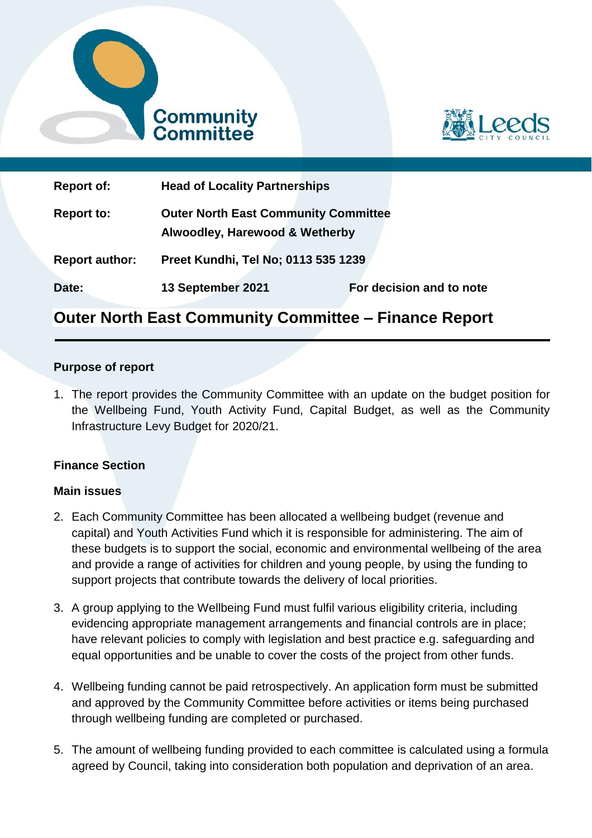



| <b>Report of:</b>     | <b>Head of Locality Partnerships</b>                                          |                          |
|-----------------------|-------------------------------------------------------------------------------|--------------------------|
| <b>Report to:</b>     | <b>Outer North East Community Committee</b><br>Alwoodley, Harewood & Wetherby |                          |
| <b>Report author:</b> | Preet Kundhi, Tel No; 0113 535 1239                                           |                          |
| Date:                 | 13 September 2021                                                             | For decision and to note |

# **Outer North East Community Committee – Finance Report**

#### **Purpose of report**

1. The report provides the Community Committee with an update on the budget position for the Wellbeing Fund, Youth Activity Fund, Capital Budget, as well as the Community Infrastructure Levy Budget for 2020/21.

#### **Finance Section**

#### **Main issues**

- 2. Each Community Committee has been allocated a wellbeing budget (revenue and capital) and Youth Activities Fund which it is responsible for administering. The aim of these budgets is to support the social, economic and environmental wellbeing of the area and provide a range of activities for children and young people, by using the funding to support projects that contribute towards the delivery of local priorities.
- 3. A group applying to the Wellbeing Fund must fulfil various eligibility criteria, including evidencing appropriate management arrangements and financial controls are in place; have relevant policies to comply with legislation and best practice e.g. safeguarding and equal opportunities and be unable to cover the costs of the project from other funds.
- 4. Wellbeing funding cannot be paid retrospectively. An application form must be submitted and approved by the Community Committee before activities or items being purchased through wellbeing funding are completed or purchased.
- 5. The amount of wellbeing funding provided to each committee is calculated using a formula agreed by Council, taking into consideration both population and deprivation of an area.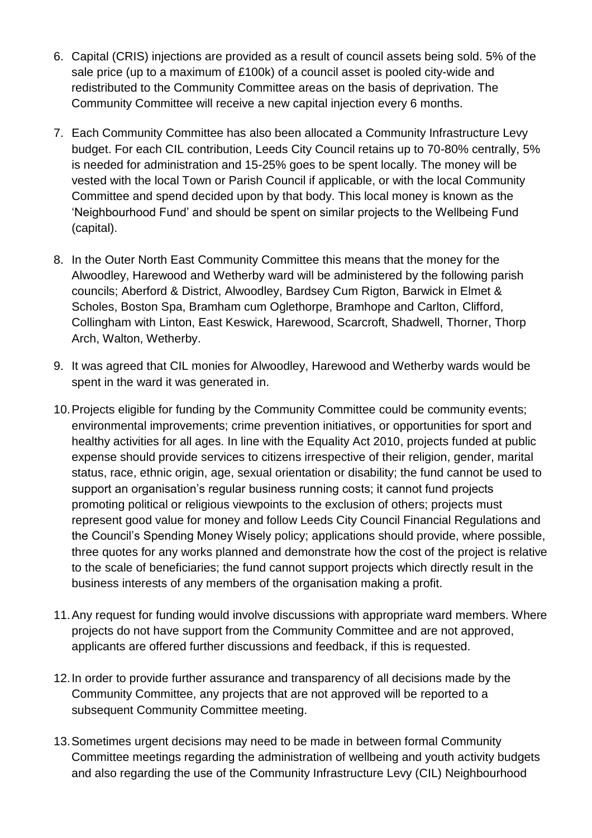- 6. Capital (CRIS) injections are provided as a result of council assets being sold. 5% of the sale price (up to a maximum of £100k) of a council asset is pooled city-wide and redistributed to the Community Committee areas on the basis of deprivation. The Community Committee will receive a new capital injection every 6 months.
- 7. Each Community Committee has also been allocated a Community Infrastructure Levy budget. For each CIL contribution, Leeds City Council retains up to 70-80% centrally, 5% is needed for administration and 15-25% goes to be spent locally. The money will be vested with the local Town or Parish Council if applicable, or with the local Community Committee and spend decided upon by that body. This local money is known as the 'Neighbourhood Fund' and should be spent on similar projects to the Wellbeing Fund (capital).
- 8. In the Outer North East Community Committee this means that the money for the Alwoodley, Harewood and Wetherby ward will be administered by the following parish councils; Aberford & District, Alwoodley, Bardsey Cum Rigton, Barwick in Elmet & Scholes, Boston Spa, Bramham cum Oglethorpe, Bramhope and Carlton, Clifford, Collingham with Linton, East Keswick, Harewood, Scarcroft, Shadwell, Thorner, Thorp Arch, Walton, Wetherby.
- 9. It was agreed that CIL monies for Alwoodley, Harewood and Wetherby wards would be spent in the ward it was generated in.
- 10.Projects eligible for funding by the Community Committee could be community events; environmental improvements; crime prevention initiatives, or opportunities for sport and healthy activities for all ages. In line with the Equality Act 2010, projects funded at public expense should provide services to citizens irrespective of their religion, gender, marital status, race, ethnic origin, age, sexual orientation or disability; the fund cannot be used to support an organisation's regular business running costs; it cannot fund projects promoting political or religious viewpoints to the exclusion of others; projects must represent good value for money and follow Leeds City Council Financial Regulations and the Council's Spending Money Wisely policy; applications should provide, where possible, three quotes for any works planned and demonstrate how the cost of the project is relative to the scale of beneficiaries; the fund cannot support projects which directly result in the business interests of any members of the organisation making a profit.
- 11.Any request for funding would involve discussions with appropriate ward members. Where projects do not have support from the Community Committee and are not approved, applicants are offered further discussions and feedback, if this is requested.
- 12.In order to provide further assurance and transparency of all decisions made by the Community Committee, any projects that are not approved will be reported to a subsequent Community Committee meeting.
- 13.Sometimes urgent decisions may need to be made in between formal Community Committee meetings regarding the administration of wellbeing and youth activity budgets and also regarding the use of the Community Infrastructure Levy (CIL) Neighbourhood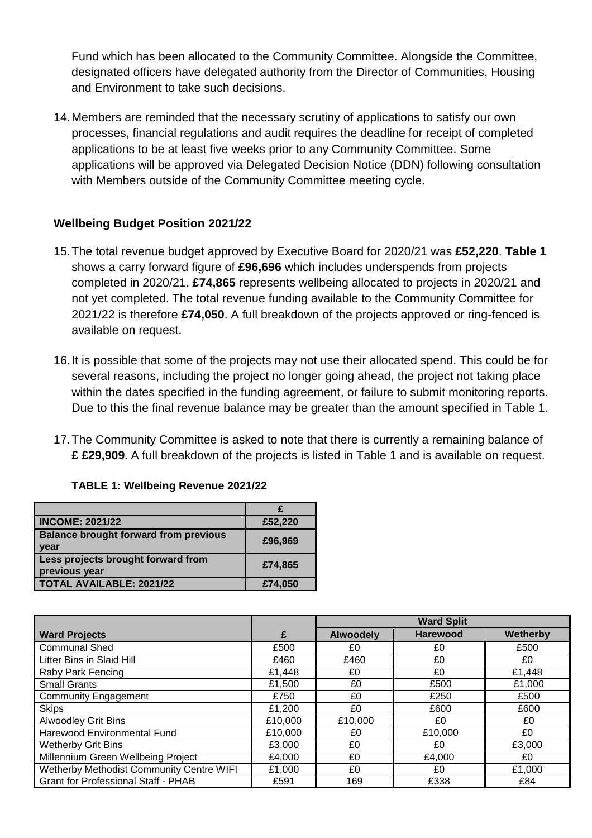Fund which has been allocated to the Community Committee. Alongside the Committee, designated officers have delegated authority from the Director of Communities, Housing and Environment to take such decisions.

14.Members are reminded that the necessary scrutiny of applications to satisfy our own processes, financial regulations and audit requires the deadline for receipt of completed applications to be at least five weeks prior to any Community Committee. Some applications will be approved via Delegated Decision Notice (DDN) following consultation with Members outside of the Community Committee meeting cycle.

# **Wellbeing Budget Position 2021/22**

- 15.The total revenue budget approved by Executive Board for 2020/21 was **£52,220**. **Table 1** shows a carry forward figure of **£96,696** which includes underspends from projects completed in 2020/21. **£74,865** represents wellbeing allocated to projects in 2020/21 and not yet completed. The total revenue funding available to the Community Committee for 2021/22 is therefore **£74,050**. A full breakdown of the projects approved or ring-fenced is available on request.
- 16.It is possible that some of the projects may not use their allocated spend. This could be for several reasons, including the project no longer going ahead, the project not taking place within the dates specified in the funding agreement, or failure to submit monitoring reports. Due to this the final revenue balance may be greater than the amount specified in Table 1.
- 17.The Community Committee is asked to note that there is currently a remaining balance of **£ £29,909.** A full breakdown of the projects is listed in Table 1 and is available on request.

| <b>INCOME: 2021/22</b>                               | £52,220 |
|------------------------------------------------------|---------|
| <b>Balance brought forward from previous</b><br>year | £96,969 |
| Less projects brought forward from<br>previous year  | £74,865 |
| <b>TOTAL AVAILABLE: 2021/22</b>                      | £74,050 |
|                                                      |         |

|                                            |         | <b>Ward Split</b> |                 |                 |
|--------------------------------------------|---------|-------------------|-----------------|-----------------|
| <b>Ward Projects</b>                       | £       | <b>Alwoodely</b>  | <b>Harewood</b> | <b>Wetherby</b> |
| <b>Communal Shed</b>                       | £500    | £0                | £0              | £500            |
| Litter Bins in Slaid Hill                  | £460    | £460              | £0              | £0              |
| Raby Park Fencing                          | £1,448  | £0                | £0              | £1,448          |
| <b>Small Grants</b>                        | £1,500  | £0                | £500            | £1,000          |
| <b>Community Engagement</b>                | £750    | £0                | £250            | £500            |
| <b>Skips</b>                               | £1,200  | £0                | £600            | £600            |
| <b>Alwoodley Grit Bins</b>                 | £10,000 | £10,000           | £0              | £0              |
| Harewood Environmental Fund                | £10,000 | £0                | £10,000         | £0              |
| <b>Wetherby Grit Bins</b>                  | £3,000  | £0                | £0              | £3,000          |
| Millennium Green Wellbeing Project         | £4,000  | £0                | £4,000          | £0              |
| Wetherby Methodist Community Centre WIFI   | £1,000  | £0                | £0              | £1,000          |
| <b>Grant for Professional Staff - PHAB</b> | £591    | 169               | £338            | £84             |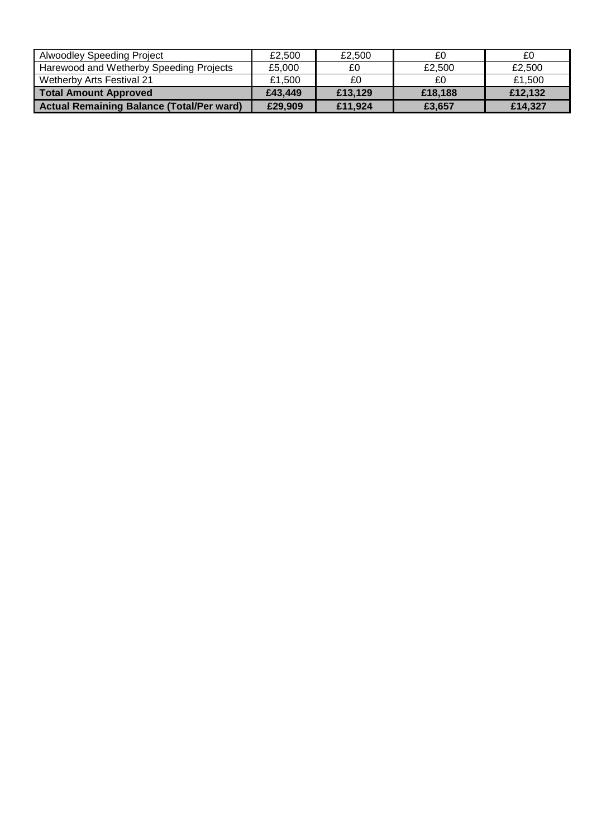| <b>Alwoodley Speeding Project</b>                | £2.500  | £2.500  | £0      | £0      |
|--------------------------------------------------|---------|---------|---------|---------|
| Harewood and Wetherby Speeding Projects          | £5.000  | £0      | £2.500  | £2.500  |
| Wetherby Arts Festival 21                        | £1.500  | £0      |         | £1,500  |
| Total Amount Approved                            | £43,449 | £13,129 | £18,188 | £12.132 |
| <b>Actual Remaining Balance (Total/Per ward)</b> | £29,909 | £11,924 | £3.657  | £14,327 |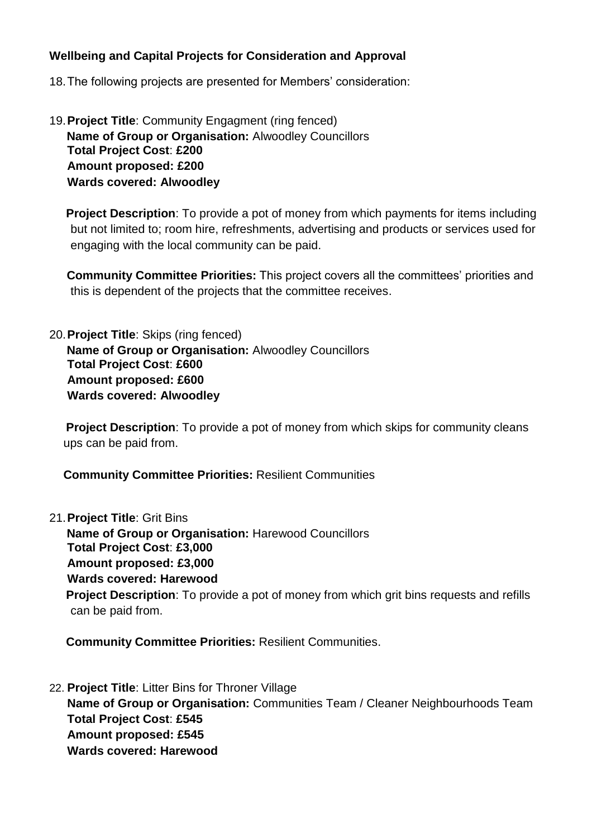#### **Wellbeing and Capital Projects for Consideration and Approval**

- 18.The following projects are presented for Members' consideration:
- 19.**Project Title**: Community Engagment (ring fenced) **Name of Group or Organisation:** Alwoodley Councillors **Total Project Cost**: **£200 Amount proposed: £200 Wards covered: Alwoodley**

**Project Description**: To provide a pot of money from which payments for items including but not limited to; room hire, refreshments, advertising and products or services used for engaging with the local community can be paid.

**Community Committee Priorities:** This project covers all the committees' priorities and this is dependent of the projects that the committee receives.

20.**Project Title**: Skips (ring fenced) **Name of Group or Organisation:** Alwoodley Councillors **Total Project Cost**: **£600 Amount proposed: £600 Wards covered: Alwoodley**

**Project Description**: To provide a pot of money from which skips for community cleans ups can be paid from.

**Community Committee Priorities:** Resilient Communities

21.**Project Title**: Grit Bins

**Name of Group or Organisation:** Harewood Councillors **Total Project Cost**: **£3,000 Amount proposed: £3,000 Wards covered: Harewood Project Description**: To provide a pot of money from which grit bins requests and refills can be paid from.

 **Community Committee Priorities:** Resilient Communities.

22. **Project Title**: Litter Bins for Throner Village **Name of Group or Organisation:** Communities Team / Cleaner Neighbourhoods Team **Total Project Cost**: **£545 Amount proposed: £545 Wards covered: Harewood**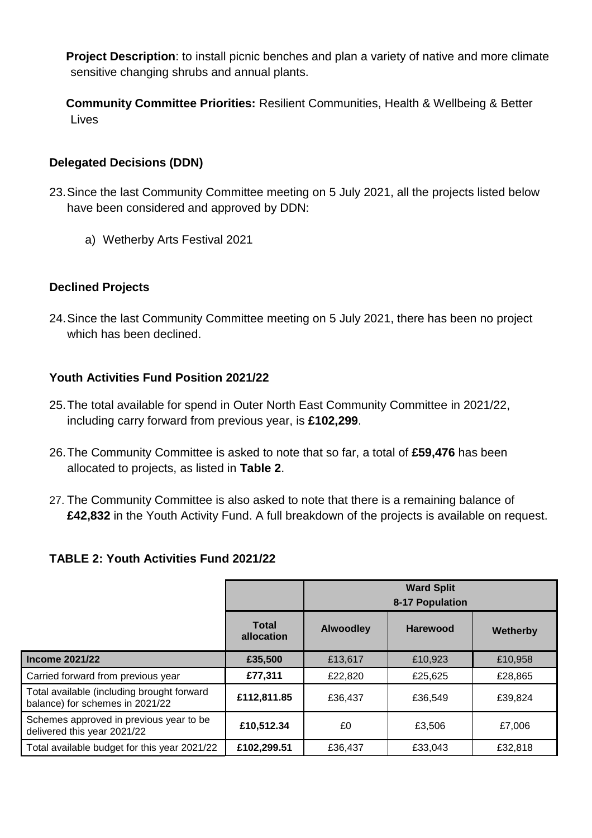**Project Description**: to install picnic benches and plan a variety of native and more climate sensitive changing shrubs and annual plants.

 **Community Committee Priorities:** Resilient Communities, Health & Wellbeing & Better Lives

#### **Delegated Decisions (DDN)**

- 23.Since the last Community Committee meeting on 5 July 2021, all the projects listed below have been considered and approved by DDN:
	- a) Wetherby Arts Festival 2021

## **Declined Projects**

24.Since the last Community Committee meeting on 5 July 2021, there has been no project which has been declined.

## **Youth Activities Fund Position 2021/22**

- 25.The total available for spend in Outer North East Community Committee in 2021/22, including carry forward from previous year, is **£102,299**.
- 26.The Community Committee is asked to note that so far, a total of **£59,476** has been allocated to projects, as listed in **Table 2**.
- 27. The Community Committee is also asked to note that there is a remaining balance of **£42,832** in the Youth Activity Fund. A full breakdown of the projects is available on request.

# **TABLE 2: Youth Activities Fund 2021/22**

|                                                                               |                            | <b>Ward Split</b><br>8-17 Population |                 |                 |
|-------------------------------------------------------------------------------|----------------------------|--------------------------------------|-----------------|-----------------|
|                                                                               | <b>Total</b><br>allocation | <b>Alwoodley</b>                     | <b>Harewood</b> | <b>Wetherby</b> |
| <b>Income 2021/22</b>                                                         | £35,500                    | £13,617                              | £10,923         | £10,958         |
| Carried forward from previous year                                            | £77,311                    | £22,820                              | £25,625         | £28,865         |
| Total available (including brought forward<br>balance) for schemes in 2021/22 | £112,811.85                | £36,437                              | £36,549         | £39,824         |
| Schemes approved in previous year to be<br>delivered this year 2021/22        | £10,512.34                 | £0                                   | £3,506          | £7,006          |
| Total available budget for this year 2021/22                                  | £102,299.51                | £36,437                              | £33,043         | £32,818         |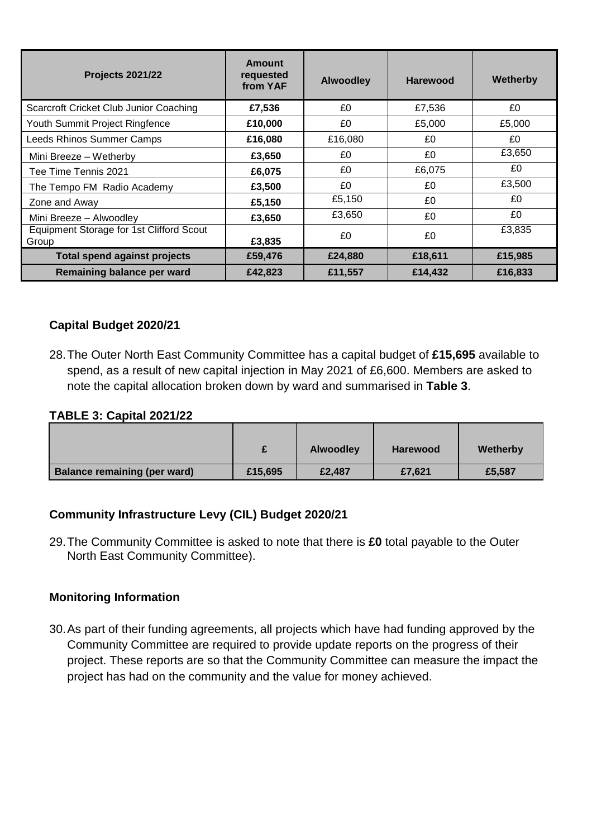| <b>Projects 2021/22</b>                           | <b>Amount</b><br>requested<br>from YAF | <b>Alwoodley</b> | <b>Harewood</b> | Wetherby |
|---------------------------------------------------|----------------------------------------|------------------|-----------------|----------|
| Scarcroft Cricket Club Junior Coaching            | £7,536                                 | £0               | £7,536          | £0       |
| Youth Summit Project Ringfence                    | £10,000                                | £0               | £5,000          | £5,000   |
| Leeds Rhinos Summer Camps                         | £16,080                                | £16,080          | £0              | £0       |
| Mini Breeze - Wetherby                            | £3,650                                 | £0               | £0              | £3,650   |
| Tee Time Tennis 2021                              | £6,075                                 | £0               | £6,075          | £0       |
| The Tempo FM Radio Academy                        | £3,500                                 | £0               | £0              | £3.500   |
| Zone and Away                                     | £5,150                                 | £5,150           | £0              | £0       |
| Mini Breeze - Alwoodley                           | £3,650                                 | £3,650           | £0              | £0       |
| Equipment Storage for 1st Clifford Scout<br>Group | £3,835                                 | £0               | £0              | £3,835   |
| <b>Total spend against projects</b>               | £59,476                                | £24,880          | £18,611         | £15,985  |
| Remaining balance per ward                        | £42,823                                | £11,557          | £14,432         | £16,833  |

## **Capital Budget 2020/21**

28.The Outer North East Community Committee has a capital budget of **£15,695** available to spend, as a result of new capital injection in May 2021 of £6,600. Members are asked to note the capital allocation broken down by ward and summarised in **Table 3**.

#### **TABLE 3: Capital 2021/22**

|                                     | $\ddot{\phantom{1}}$ | <b>Alwoodley</b> | <b>Harewood</b> | Wetherby |
|-------------------------------------|----------------------|------------------|-----------------|----------|
| <b>Balance remaining (per ward)</b> | £15,695              | £2,487           | £7,621          | £5,587   |

#### **Community Infrastructure Levy (CIL) Budget 2020/21**

29.The Community Committee is asked to note that there is **£0** total payable to the Outer North East Community Committee).

#### **Monitoring Information**

30.As part of their funding agreements, all projects which have had funding approved by the Community Committee are required to provide update reports on the progress of their project. These reports are so that the Community Committee can measure the impact the project has had on the community and the value for money achieved.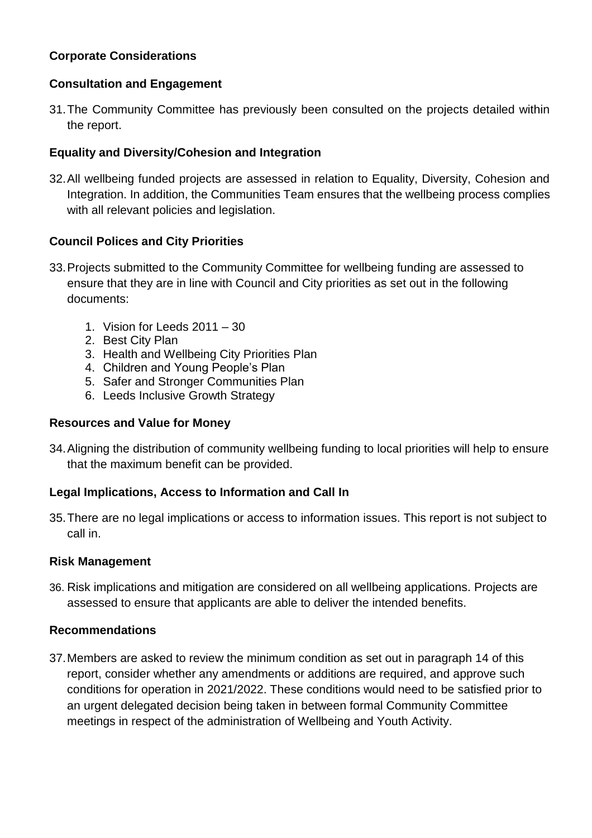## **Corporate Considerations**

#### **Consultation and Engagement**

31.The Community Committee has previously been consulted on the projects detailed within the report.

## **Equality and Diversity/Cohesion and Integration**

32.All wellbeing funded projects are assessed in relation to Equality, Diversity, Cohesion and Integration. In addition, the Communities Team ensures that the wellbeing process complies with all relevant policies and legislation.

## **Council Polices and City Priorities**

- 33.Projects submitted to the Community Committee for wellbeing funding are assessed to ensure that they are in line with Council and City priorities as set out in the following documents:
	- 1. Vision for Leeds 2011 30
	- 2. Best City Plan
	- 3. Health and Wellbeing City Priorities Plan
	- 4. Children and Young People's Plan
	- 5. Safer and Stronger Communities Plan
	- 6. Leeds Inclusive Growth Strategy

#### **Resources and Value for Money**

34.Aligning the distribution of community wellbeing funding to local priorities will help to ensure that the maximum benefit can be provided.

# **Legal Implications, Access to Information and Call In**

35.There are no legal implications or access to information issues. This report is not subject to call in.

#### **Risk Management**

36. Risk implications and mitigation are considered on all wellbeing applications. Projects are assessed to ensure that applicants are able to deliver the intended benefits.

#### **Recommendations**

37.Members are asked to review the minimum condition as set out in paragraph 14 of this report, consider whether any amendments or additions are required, and approve such conditions for operation in 2021/2022. These conditions would need to be satisfied prior to an urgent delegated decision being taken in between formal Community Committee meetings in respect of the administration of Wellbeing and Youth Activity.